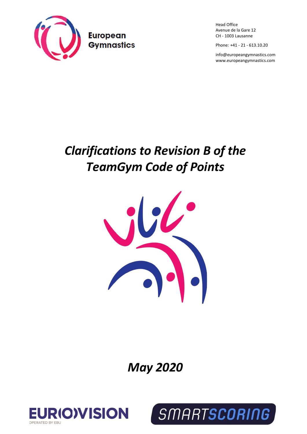

Head Office Avenue de la Gare 12 CH - 1003 Lausanne

Phone: +41 - 21 - 613.10.20

[info@europeangymnastics.com](mailto:info@europeangymnastics.com) [www.europeangymnastics.com](http://www.europeangymnastics.com/)

## *Clarifications to Revision B of the TeamGym Code of Points*



*May 2020*



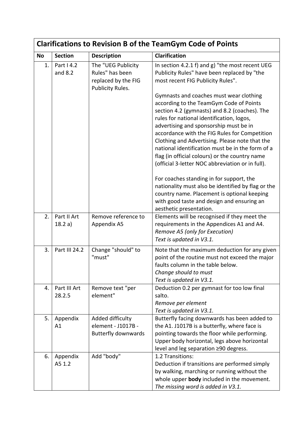| <b>Clarifications to Revision B of the TeamGym Code of Points</b> |                        |                                                                                  |                                                                                                                                                                                                                                                                                                                                                                                                                                                                                         |  |
|-------------------------------------------------------------------|------------------------|----------------------------------------------------------------------------------|-----------------------------------------------------------------------------------------------------------------------------------------------------------------------------------------------------------------------------------------------------------------------------------------------------------------------------------------------------------------------------------------------------------------------------------------------------------------------------------------|--|
| <b>No</b>                                                         | <b>Section</b>         | <b>Description</b>                                                               | <b>Clarification</b>                                                                                                                                                                                                                                                                                                                                                                                                                                                                    |  |
| 1.                                                                | Part I 4.2<br>and 8.2  | The "UEG Publicity<br>Rules" has been<br>replaced by the FIG<br>Publicity Rules. | In section 4.2.1 f) and $g$ ) "the most recent UEG<br>Publicity Rules" have been replaced by "the<br>most recent FIG Publicity Rules".                                                                                                                                                                                                                                                                                                                                                  |  |
|                                                                   |                        |                                                                                  | Gymnasts and coaches must wear clothing<br>according to the TeamGym Code of Points<br>section 4.2 (gymnasts) and 8.2 (coaches). The<br>rules for national identification, logos,<br>advertising and sponsorship must be in<br>accordance with the FIG Rules for Competition<br>Clothing and Advertising. Please note that the<br>national identification must be in the form of a<br>flag (in official colours) or the country name<br>(official 3-letter NOC abbreviation or in full). |  |
|                                                                   |                        |                                                                                  | For coaches standing in for support, the<br>nationality must also be identified by flag or the<br>country name. Placement is optional keeping<br>with good taste and design and ensuring an<br>aesthetic presentation.                                                                                                                                                                                                                                                                  |  |
| 2.                                                                | Part II Art<br>18.2 a) | Remove reference to<br>Appendix A5                                               | Elements will be recognised if they meet the<br>requirements in the Appendices A1 and A4.<br>Remove A5 (only for Execution)<br>Text is updated in V3.1.                                                                                                                                                                                                                                                                                                                                 |  |
| 3.                                                                | Part III 24.2          | Change "should" to<br>"must"                                                     | Note that the maximum deduction for any given<br>point of the routine must not exceed the major<br>faults column in the table below.<br>Change should to must<br>Text is updated in V3.1.                                                                                                                                                                                                                                                                                               |  |
| 4.                                                                | Part III Art<br>28.2.5 | Remove text "per<br>element"                                                     | Deduction 0.2 per gymnast for too low final<br>salto.<br>Remove per element<br>Text is updated in V3.1.                                                                                                                                                                                                                                                                                                                                                                                 |  |
| 5.                                                                | Appendix<br>A1         | Added difficulty<br>element - J1017B -<br><b>Butterfly downwards</b>             | Butterfly facing downwards has been added to<br>the A1. J1017B is a butterfly, where face is<br>pointing towards the floor while performing.<br>Upper body horizontal, legs above horizontal<br>level and leg separation ≥90 degress.                                                                                                                                                                                                                                                   |  |
| 6.                                                                | Appendix<br>A5 1.2     | Add "body"                                                                       | 1.2 Transitions:<br>Deduction if transitions are performed simply<br>by walking, marching or running without the<br>whole upper body included in the movement.<br>The missing word is added in V3.1.                                                                                                                                                                                                                                                                                    |  |